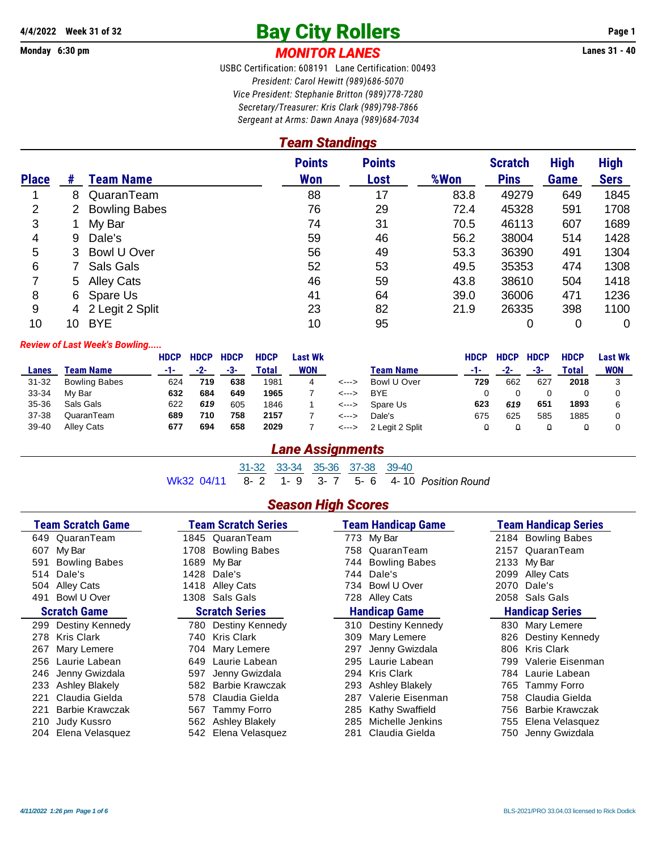# A/4/2022 Week 31 of 32<br> **Bay City Rollers** Page 1<br> **MONITOR LANFS** Lanes 31 - 40

#### Monday 6:30 pm **MONITOR LANES**

USBC Certification: 608191 Lane Certification: 00493 *President: Carol Hewitt (989)686-5070 Vice President: Stephanie Britton (989)778-7280 Secretary/Treasurer: Kris Clark (989)798-7866 Sergeant at Arms: Dawn Anaya (989)684-7034*

## *Team Standings*

|              |    |                      | <b>Points</b> | <b>Points</b> |      | <b>Scratch</b> | <b>High</b> | <b>High</b> |
|--------------|----|----------------------|---------------|---------------|------|----------------|-------------|-------------|
| <b>Place</b> | #  | <b>Team Name</b>     | <b>Won</b>    | Lost          | %Won | <b>Pins</b>    | Game        | <b>Sers</b> |
|              | 8  | QuaranTeam           | 88            | 17            | 83.8 | 49279          | 649         | 1845        |
| 2            | 2  | <b>Bowling Babes</b> | 76            | 29            | 72.4 | 45328          | 591         | 1708        |
| 3            |    | My Bar               | 74            | 31            | 70.5 | 46113          | 607         | 1689        |
| 4            | 9  | Dale's               | 59            | 46            | 56.2 | 38004          | 514         | 1428        |
| 5            | 3  | Bowl U Over          | 56            | 49            | 53.3 | 36390          | 491         | 1304        |
| 6            |    | Sals Gals            | 52            | 53            | 49.5 | 35353          | 474         | 1308        |
|              |    | 5 Alley Cats         | 46            | 59            | 43.8 | 38610          | 504         | 1418        |
| 8            | 6  | Spare Us             | 41            | 64            | 39.0 | 36006          | 471         | 1236        |
| 9            |    | 4 2 Legit 2 Split    | 23            | 82            | 21.9 | 26335          | 398         | 1100        |
| 10           | 10 | <b>BYE</b>           | 10            | 95            |      | 0              | 0           | 0           |

#### *Review of Last Week's Bowling.....*

|           |                      | <b>HDCP</b> | <b>HDCP</b> | <b>HDCP</b> | <b>HDCP</b> | Last Wk    |       |                  | HDCP | <b>HDCP</b> | <b>HDCP</b> | <b>HDCP</b> | Last Wk    |
|-----------|----------------------|-------------|-------------|-------------|-------------|------------|-------|------------------|------|-------------|-------------|-------------|------------|
| Lanes     | Team Name            | -1-         | -2-         | -3-         | Total       | <b>WON</b> |       | <b>Team Name</b> | -1-  | -2-         | -3-         | Total       | <b>WON</b> |
| $31 - 32$ | <b>Bowling Babes</b> | 624         | 719         | 638         | 1981        | 4          | <---> | Bowl U Over      | 729  | 662         | 627         | 2018        |            |
| 33-34     | My Bar               | 632         | 684         | 649         | 1965        |            | <---> | <b>BYE</b>       |      |             |             |             |            |
| 35-36     | Sals Gals            | 622         | 619         | 605         | 1846        |            | <---> | Spare Us         | 623  | 619         | 651         | 1893        |            |
| 37-38     | QuaranTeam           | 689         | 710         | 758         | 2157        |            | <---> | Dale's           | 675  | 625         | 585         | 1885        |            |
| 39-40     | <b>Alley Cats</b>    | 677         | 694         | 658         | 2029        |            | <---> | 2 Legit 2 Split  |      |             |             |             |            |

#### *Lane Assignments*

31-32 33-34 35-36 37-38 39-40 Wk32 04/11 8- 2 1- 9 3- 7 5- 6 4- 10 *Position Round*

#### *Season High Scores*

| <b>Team Scratch Game</b> | <b>Team Scratch Series</b> | <b>Team Handicap Game</b> | <b>Team Handicap Series</b> |
|--------------------------|----------------------------|---------------------------|-----------------------------|
| 649 QuaranTeam           | 1845 QuaranTeam            | 773 My Bar                | 2184 Bowling Babes          |
| My Bar                   | <b>Bowling Babes</b>       | QuaranTeam                | QuaranTeam                  |
| 607                      | 1708                       | 758                       | 2157                        |
| <b>Bowling Babes</b>     | My Bar                     | <b>Bowling Babes</b>      | 2133 My Bar                 |
| 591                      | 1689                       | 744.                      |                             |
| Dale's                   | 1428                       | Dale's                    | 2099                        |
| 514                      | Dale's                     | 744                       | <b>Alley Cats</b>           |
| Alley Cats               | <b>Alley Cats</b>          | Bowl U Over               | Dale's                      |
| 504                      | 1418                       | 734                       | 2070                        |
| Bowl U Over<br>491       | 1308 Sals Gals             | 728<br>Alley Cats         | 2058 Sals Gals              |
| <b>Scratch Game</b>      | <b>Scratch Series</b>      | <b>Handicap Game</b>      | <b>Handicap Series</b>      |
| Destiny Kennedy          | Destiny Kennedy            | Destiny Kennedy           | 830 Mary Lemere             |
| 299                      | 780.                       | 310                       |                             |
| 278 Kris Clark           | <b>Kris Clark</b>          | 309                       | Destiny Kennedy             |
|                          | 740.                       | Mary Lemere               | 826                         |
| 267                      | Mary Lemere                | 297                       | 806 Kris Clark              |
| Mary Lemere              | 704                        | Jenny Gwizdala            |                             |
| 256 Laurie Labean        | Laurie Labean<br>649       | 295<br>Laurie Labean      | 799 Valerie Eisenman        |
| Jenny Gwizdala           | Jenny Gwizdala             | <b>Kris Clark</b>         | 784 Laurie Labean           |
| 246                      | 597                        | 294                       |                             |
| Ashley Blakely           | Barbie Krawczak            | Ashley Blakely            | Tammy Forro                 |
| 233                      | 582                        | 293                       | 765                         |
| Claudia Gielda           | Claudia Gielda             | Valerie Eisenman          | 758 Claudia Gielda          |
| 221                      | 578                        | 287                       |                             |
| <b>Barbie Krawczak</b>   | Tammy Forro                | Kathy Swaffield           | Barbie Krawczak             |
| 221                      | 567                        | 285                       | 756                         |
| Judy Kussro              | Ashley Blakely             | Michelle Jenkins          | Elena Velasquez             |
| 210                      | 562                        | 285                       | 755                         |
| Elena Velasquez          | Elena Velasquez            | Claudia Gielda            | Jenny Gwizdala              |
| 204                      | 542.                       | 281                       | 750                         |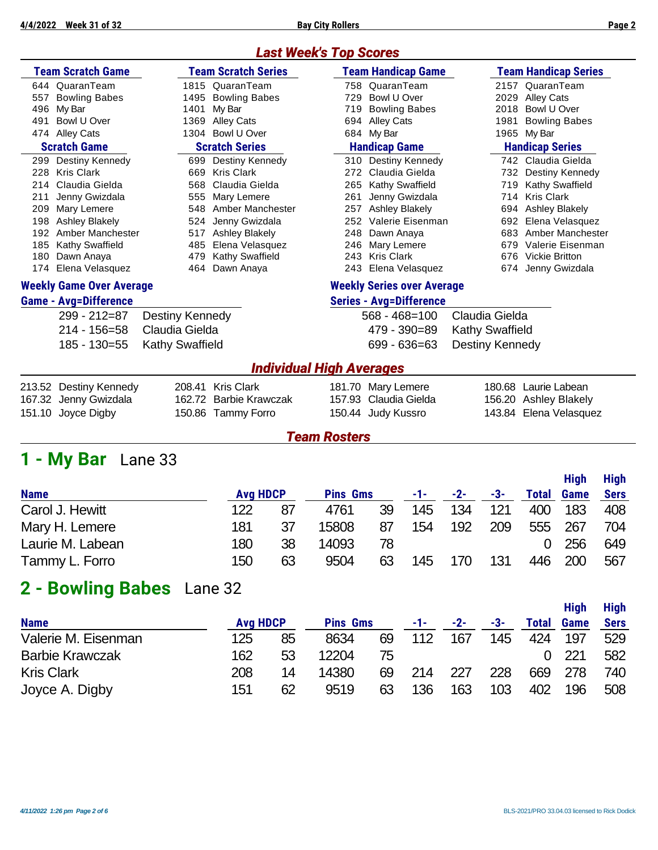## *Last Week's Top Scores*

|     | <b>Team Scratch Game</b>        |      | <b>Team Scratch Series</b> |     | Team Handicap Game                | <b>Team Handicap Series</b> |                      |  |  |
|-----|---------------------------------|------|----------------------------|-----|-----------------------------------|-----------------------------|----------------------|--|--|
| 644 | QuaranTeam                      |      | 1815 QuaranTeam            |     | 758 QuaranTeam                    |                             | 2157 QuaranTeam      |  |  |
| 557 | <b>Bowling Babes</b>            | 1495 | <b>Bowling Babes</b>       | 729 | Bowl U Over                       | 2029                        | <b>Alley Cats</b>    |  |  |
| 496 | My Bar                          | 1401 | My Bar                     | 719 | <b>Bowling Babes</b>              | 2018                        | Bowl U Over          |  |  |
| 491 | Bowl U Over                     | 1369 | Alley Cats                 | 694 | Alley Cats                        | 1981                        | <b>Bowling Babes</b> |  |  |
| 474 | Alley Cats                      | 1304 | Bowl U Over                |     | 684 My Bar                        |                             | 1965 My Bar          |  |  |
|     | <b>Scratch Game</b>             |      | <b>Scratch Series</b>      |     | <b>Handicap Game</b>              | <b>Handicap Series</b>      |                      |  |  |
| 299 | Destiny Kennedy                 | 699  | Destiny Kennedy            |     | 310 Destiny Kennedy               |                             | 742 Claudia Gielda   |  |  |
| 228 | Kris Clark                      | 669  | Kris Clark                 |     | 272 Claudia Gielda                | 732                         | Destiny Kennedy      |  |  |
| 214 | Claudia Gielda                  |      | 568 Claudia Gielda         | 265 | <b>Kathy Swaffield</b>            | 719                         | Kathy Swaffield      |  |  |
| 211 | Jenny Gwizdala                  | 555  | Mary Lemere                | 261 | Jenny Gwizdala                    | 714                         | <b>Kris Clark</b>    |  |  |
| 209 | Mary Lemere                     | 548  | Amber Manchester           | 257 | Ashley Blakely                    | 694                         | Ashley Blakely       |  |  |
| 198 | Ashley Blakely                  | 524  | Jenny Gwizdala             | 252 | Valerie Eisenman                  | 692                         | Elena Velasquez      |  |  |
| 192 | Amber Manchester                | 517  | <b>Ashley Blakely</b>      | 248 | Dawn Anaya                        | 683                         | Amber Manchester     |  |  |
| 185 | Kathy Swaffield                 | 485  | Elena Velasquez            | 246 | Mary Lemere                       | 679                         | Valerie Eisenman     |  |  |
| 180 | Dawn Anaya                      | 479  | <b>Kathy Swaffield</b>     |     | 243 Kris Clark                    | 676                         | Vickie Britton       |  |  |
| 174 | Elena Velasquez                 | 464  | Dawn Anaya                 |     | 243 Elena Velasquez               | 674                         | Jenny Gwizdala       |  |  |
|     | <b>Weekly Game Over Average</b> |      |                            |     | <b>Weekly Series over Average</b> |                             |                      |  |  |
|     | <b>Game - Avg=Difference</b>    |      |                            |     | <b>Series - Avg=Difference</b>    |                             |                      |  |  |

| 299 - 212=87 Destiny Kennedy |
|------------------------------|
| 214 - 156=58 Claudia Gielda  |
| 185 - 130=55 Kathy Swaffield |

#### 568 - 468=100 Claudia Gielda 479 - 390=89 Kathy Swaffield 699 - 636=63 Destiny Kennedy

#### *Individual High Averages*

| 213.52 Destiny Kennedy | 208.41 Kris Clark      | 181.70 Mary Lemere    | 180.68 Laurie Labean   |
|------------------------|------------------------|-----------------------|------------------------|
| 167.32 Jenny Gwizdala  | 162.72 Barbie Krawczak | 157.93 Claudia Gielda | 156.20 Ashley Blakely  |
| 151.10 Joyce Digby     | 150.86 Tammy Forro     | 150.44 Judy Kussro    | 143.84 Elena Velasquez |

## *Team Rosters*

## **1 - My Bar** Lane 33

|                  |     |                 |       |                 |     |       |     |              | <b>High</b> | <b>High</b> |
|------------------|-----|-----------------|-------|-----------------|-----|-------|-----|--------------|-------------|-------------|
| <b>Name</b>      |     | <b>Avg HDCP</b> |       | <b>Pins Gms</b> |     | $-2-$ | -3- | <b>Total</b> | Game        | <b>Sers</b> |
| Carol J. Hewitt  | 122 | 87              | 4761  | 39              | 145 | 134   | 121 | 400          | 183         | 408         |
| Mary H. Lemere   | 181 | 37              | 15808 | 87              | 154 | 192   | 209 | 555          | 267         | 704         |
| Laurie M. Labean | 180 | 38              | 14093 | 78              |     |       |     |              | 256         | 649         |
| Tammy L. Forro   | 150 | 63              | 9504  | 63              | 145 | 170   | 131 | 446          | 200         | 567         |

## **2 - Bowling Babes** Lane 32

|                        |                 |    |                 |    |     |       |     |       | <b>High</b> | <b>High</b> |
|------------------------|-----------------|----|-----------------|----|-----|-------|-----|-------|-------------|-------------|
| <b>Name</b>            | <b>Avg HDCP</b> |    | <b>Pins Gms</b> |    | -1- | $-2-$ | -3- | Total | <b>Game</b> | <b>Sers</b> |
| Valerie M. Eisenman    | 125             | 85 | 8634            | 69 | 112 | 167   | 145 | 424   | 197         | 529         |
| <b>Barbie Krawczak</b> | 162             | 53 | 12204           | 75 |     |       |     |       | 221         | 582         |
| <b>Kris Clark</b>      | 208             | 14 | 14380           | 69 | 214 | 227   | 228 | 669   | 278         | 740         |
| Joyce A. Digby         | 151             | 62 | 9519            | 63 | 136 | 163   | 103 | 402   | 196         | 508         |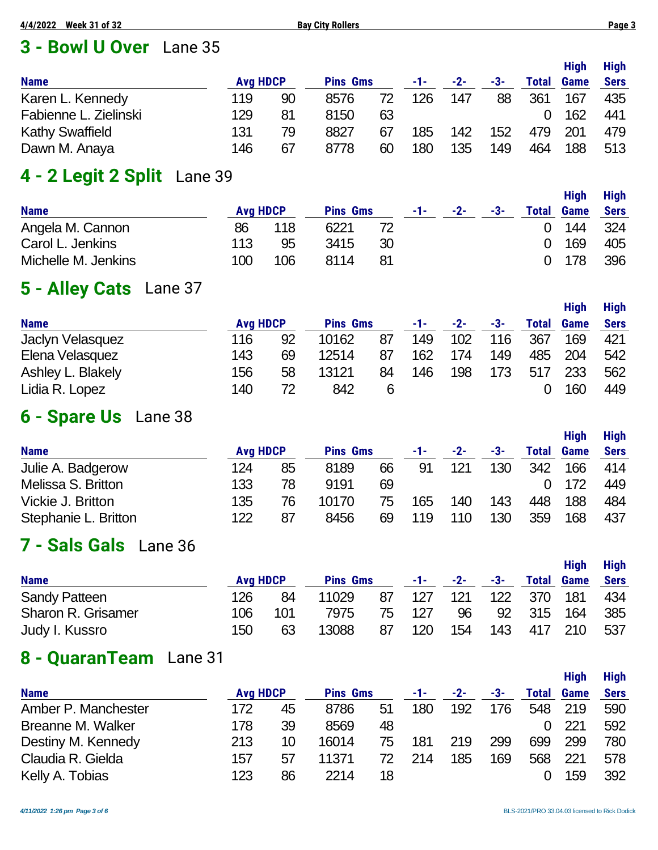## **3 - Bowl U Over** Lane 35

| <b>Name</b>            | <b>Avg HDCP</b> |    | <b>Pins Gms</b> |    | -1- | $-2-$ | -3- | <b>Total</b> | <b>High</b><br><b>Game</b> | High<br><b>Sers</b> |
|------------------------|-----------------|----|-----------------|----|-----|-------|-----|--------------|----------------------------|---------------------|
| Karen L. Kennedy       | 119             | 90 | 8576            | 72 | 126 | 147   | 88  | 361          | 167                        | 435                 |
| Fabienne L. Zielinski  | 129             | 81 | 8150            | 63 |     |       |     |              | 162                        | 441                 |
| <b>Kathy Swaffield</b> | 131             | 79 | 8827            | 67 | 185 | 142   | 152 | 479          | 201                        | 479                 |
| Dawn M. Anaya          | 146             | 67 | 8778            | 60 | 180 | 135   | 149 | 464          | 188                        | 513                 |

## **4 - 2 Legit 2 Split** Lane 39

| <b>Name</b>         | <b>Avg HDCP</b> |     | <b>Pins Gms</b> |    | -1-1 | $-2-$ | -3- | <b>Total</b> | <b>High</b><br><b>Game</b> | <b>High</b><br>Sers |
|---------------------|-----------------|-----|-----------------|----|------|-------|-----|--------------|----------------------------|---------------------|
| Angela M. Cannon    | 86              | 118 | 6221            |    |      |       |     |              | 144                        | -324                |
| Carol L. Jenkins    | 113             | 95  | 3415            | 30 |      |       |     | 0            | 169                        | 405                 |
| Michelle M. Jenkins | 100             | 106 | 8114            | 81 |      |       |     |              | 0.178                      | 396                 |

## **5 - Alley Cats** Lane 37

|                   |                 |    |                 |    |     |       |     |       | <b>High</b> | <b>High</b> |
|-------------------|-----------------|----|-----------------|----|-----|-------|-----|-------|-------------|-------------|
| <b>Name</b>       | <b>Avg HDCP</b> |    | <b>Pins Gms</b> |    | -1- | $-2-$ | -3- | Total | <b>Game</b> | <b>Sers</b> |
| Jaclyn Velasquez  | 116             | 92 | 10162           | 87 | 149 | 102   | 116 | 367   | 169         | 421         |
| Elena Velasquez   | 143             | 69 | 12514           | 87 | 162 | 174   | 149 | 485   | 204         | 542         |
| Ashley L. Blakely | 156             | 58 | 13121           | 84 | 146 | 198   | 173 | 517   | 233         | 562         |
| Lidia R. Lopez    | 140             | 72 | 842             | 6  |     |       |     |       | 160         | 449         |

## **6 - Spare Us** Lane 38

|                      |     |                 |       |                 | -1- |       |     |       | <b>High</b> | <b>High</b> |
|----------------------|-----|-----------------|-------|-----------------|-----|-------|-----|-------|-------------|-------------|
| <b>Name</b>          |     | <b>Avg HDCP</b> |       | <b>Pins Gms</b> |     | $-2-$ | -3- | Total | <b>Game</b> | <b>Sers</b> |
| Julie A. Badgerow    | 124 | 85              | 8189  | 66              | 91  | 121   | 130 | 342   | 166         | 414         |
| Melissa S. Britton   | 133 | 78              | 9191  | 69              |     |       |     |       | 172         | 449         |
| Vickie J. Britton    | 135 | 76              | 10170 | 75              | 165 | 140   | 143 | 448   | 188         | 484         |
| Stephanie L. Britton | 122 | 87              | 8456  | 69              | 119 | 110   | 130 | 359   | 168         | 437         |

## **7 - Sals Gals** Lane 36

| <b>Name</b>               | <b>Avg HDCP</b> |     | <b>Pins Gms</b> |    | $-1$ - $-$ | $-2-$ | -3- | <b>Total</b> | <b>High</b><br>Game | <b>High</b><br><b>Sers</b> |
|---------------------------|-----------------|-----|-----------------|----|------------|-------|-----|--------------|---------------------|----------------------------|
| <b>Sandy Patteen</b>      | 126             | 84  | 11029           | 87 | 127        | 121   | 122 | 370          | 181                 | 434                        |
| <b>Sharon R. Grisamer</b> | 106             | 101 | 7975            | 75 | 127        | 96    | 92  | 315          | 164                 | 385                        |
| Judy I. Kussro            | 150             | 63  | 13088           | 87 | 120        | 154   | 143 | 417          | 210                 | 537                        |

## **8 - QuaranTeam** Lane 31

|                     |                 |    |                 |    |     |     |     |       | <b>High</b> | <b>High</b> |
|---------------------|-----------------|----|-----------------|----|-----|-----|-----|-------|-------------|-------------|
| <b>Name</b>         | <b>Avg HDCP</b> |    | <b>Pins Gms</b> |    | -1- | -2- | -3- | Total | <b>Game</b> | <b>Sers</b> |
| Amber P. Manchester | 172             | 45 | 8786            | 51 | 180 | 192 | 176 | 548   | 219         | 590         |
| Breanne M. Walker   | 178             | 39 | 8569            | 48 |     |     |     |       | 221         | 592         |
| Destiny M. Kennedy  | 213             | 10 | 16014           | 75 | 181 | 219 | 299 | 699   | 299         | 780         |
| Claudia R. Gielda   | 157             | 57 | 11371           | 72 | 214 | 185 | 169 | 568   | 221         | 578         |
| Kelly A. Tobias     | 123             | 86 | 2214            | 18 |     |     |     |       | 159         | 392         |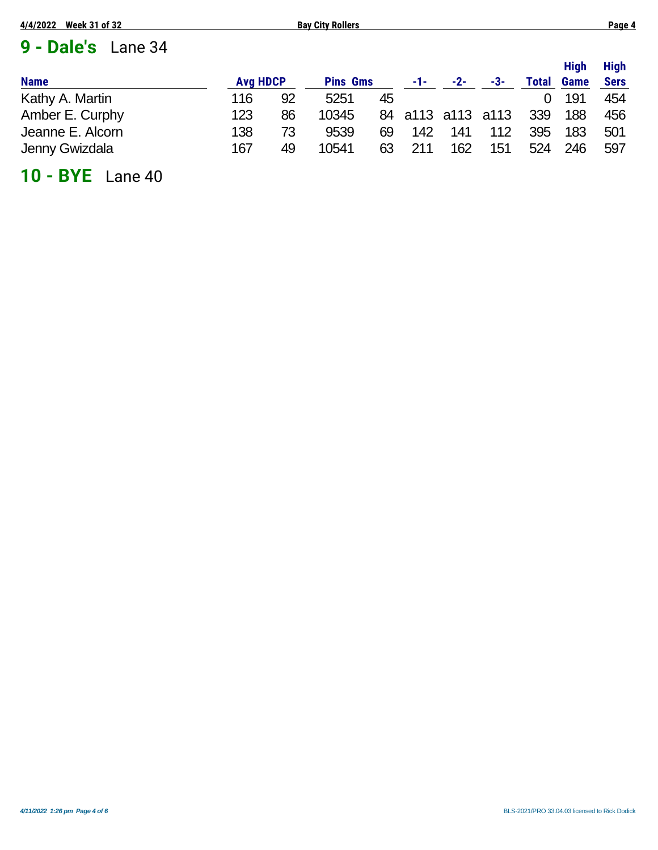## **9 - Dale's** Lane 34

| <b>Name</b>      | <b>Avg HDCP</b> |    | <b>Pins Gms</b> |    | $-1-$ | $-2-$             | -3- | <b>Total</b> | <b>High</b><br><b>Game</b> | <b>High</b><br><b>Sers</b> |
|------------------|-----------------|----|-----------------|----|-------|-------------------|-----|--------------|----------------------------|----------------------------|
| Kathy A. Martin  | 116             | 92 | 5251            | 45 |       |                   |     |              | 191                        | 454                        |
| Amber E. Curphy  | 123             | 86 | 10345           |    |       | 84 a113 a113 a113 |     | 339          | 188                        | 456                        |
| Jeanne E. Alcorn | 138             | 73 | 9539            | 69 | 142   | 141               | 112 | 395          | 183                        | 501                        |
| Jenny Gwizdala   | 167             | 49 | 10541           | 63 | 211   | 162               | 151 | 524          | 246                        | 597                        |

## **10 - BYE** Lane 40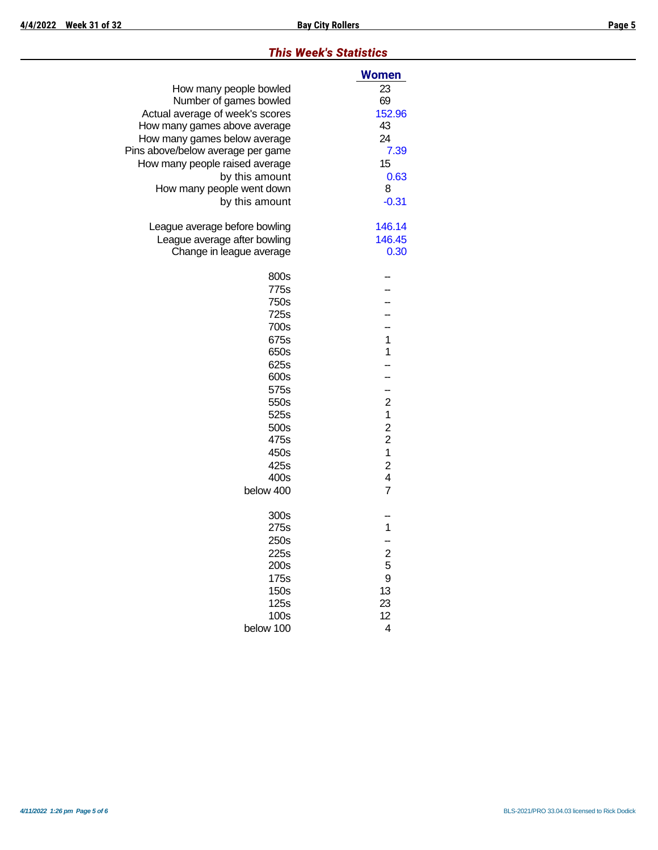#### *This Week's Statistics*

|                                   | <b>Women</b>            |
|-----------------------------------|-------------------------|
| How many people bowled            | 23                      |
| Number of games bowled            | 69                      |
| Actual average of week's scores   | 152.96                  |
| How many games above average      | 43                      |
| How many games below average      | 24                      |
| Pins above/below average per game | 7.39                    |
| How many people raised average    | 15                      |
| by this amount                    | 0.63                    |
| How many people went down         | 8                       |
| by this amount                    | $-0.31$                 |
| League average before bowling     | 146.14                  |
| League average after bowling      | 146.45                  |
| Change in league average          | 0.30                    |
| 800s                              |                         |
| 775s                              |                         |
| 750s                              |                         |
| 725s                              |                         |
| 700s                              |                         |
| 675s                              | $\mathbf 1$             |
| 650s                              | 1                       |
| 625s                              |                         |
| 600s                              |                         |
| 575s                              | --                      |
| 550s                              | $\overline{c}$          |
| 525s                              | 1                       |
| 500s                              | $\overline{\mathbf{c}}$ |
| 475s                              | $\overline{\mathbf{c}}$ |
| 450s                              | $\mathbf 1$             |
| 425s                              | $\overline{\mathbf{c}}$ |
| 400s                              | $\overline{\mathbf{4}}$ |
| below 400                         | $\overline{7}$          |
| 300s                              |                         |
| 275s                              | 1                       |
| 250s                              |                         |
| 225s                              | 2<br>5                  |
| 200s                              |                         |
| 175s                              | 9                       |
| 150s                              | 13                      |
| 125s                              | 23                      |
| 100s                              | 12                      |
| below 100                         | 4                       |